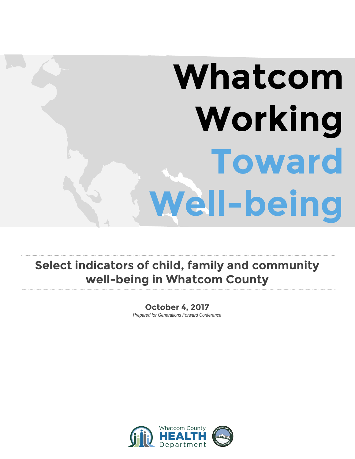# **Whatcom Working Toward Well-being**

### **Select indicators of child, family and community well-being in Whatcom County**

#### **October 4, 2017** *Prepared for Generations Forward Conference*

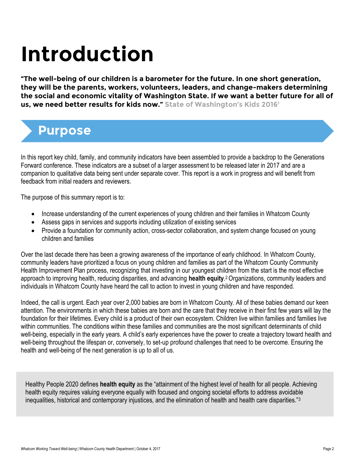## **Introduction**

**"The well-being of our children is a barometer for the future. In one short generation, they will be the parents, workers, volunteers, leaders, and change-makers determining the social and economic vitality of Washington State. If we want a better future for all of us, we need better results for kids now." State of Washington's Kids 2016<sup>1</sup>**

### **Purpose**

In this report key child, family, and community indicators have been assembled to provide a backdrop to the Generations Forward conference. These indicators are a subset of a larger assessment to be released later in 2017 and are a companion to qualitative data being sent under separate cover. This report is a work in progress and will benefit from feedback from initial readers and reviewers.

The purpose of this summary report is to:

- Increase understanding of the current experiences of young children and their families in Whatcom County
- Assess gaps in services and supports including utilization of existing services
- Provide a foundation for community action, cross-sector collaboration, and system change focused on young children and families

Over the last decade there has been a growing awareness of the importance of early childhood. In Whatcom County, community leaders have prioritized a focus on young children and families as part of the Whatcom County Community Health Improvement Plan process, recognizing that investing in our youngest children from the start is the most effective approach to improving health, reducing disparities, and advancing **health equity**. <sup>2</sup>Organizations, community leaders and individuals in Whatcom County have heard the call to action to invest in young children and have responded.

Indeed, the call is urgent. Each year over 2,000 babies are born in Whatcom County. All of these babies demand our keen attention. The environments in which these babies are born and the care that they receive in their first few years will lay the foundation for their lifetimes. Every child is a product of their own ecosystem. Children live within families and families live within communities. The conditions within these families and communities are the most significant determinants of child well-being, especially in the early years. A child's early experiences have the power to create a trajectory toward health and well-being throughout the lifespan or, conversely, to set-up profound challenges that need to be overcome. Ensuring the health and well-being of the next generation is up to all of us.

Healthy People 2020 defines **health equity** as the "attainment of the highest level of health for all people. Achieving health equity requires valuing everyone equally with focused and ongoing societal efforts to address avoidable inequalities, historical and contemporary injustices, and the elimination of health and health care disparities."<sup>3</sup>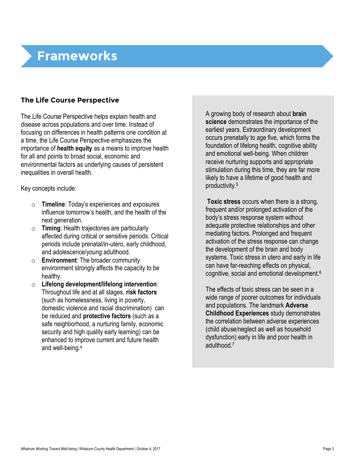### **Frameworks**

### **The Life Course Perspective**

The Life Course Perspective helps explain health and disease across populations and over time. Instead of focusing on differences in health patterns one condition at a time, the Life Course Perspective emphasizes the importance of **health equity** as a means to improve health for all and points to broad social, economic and environmental factors as underlying causes of persistent inequalities in overall health.

Key concepts include:

- o **Timeline**: Today's experiences and exposures influence tomorrow's health, and the health of the next generation.
- o **Timing**: Health trajectories are particularly affected during critical or sensitive periods. Critical periods include prenatal/in-utero, early childhood, and adolescence/young adulthood.
- o **Environment**: The broader community environment strongly affects the capacity to be healthy.
- o **Lifelong development/lifelong intervention**: Throughout life and at all stages, **risk factors** (such as homelessness, living in poverty, domestic violence and racial discrimination) can be reduced and **protective factors** (such as a safe neighborhood, a nurturing family, economic security and high quality early learning) can be enhanced to improve current and future health and well-being.4

A growing body of research about **brain science** demonstrates the importance of the earliest years. Extraordinary development occurs prenatally to age five, which forms the foundation of lifelong health, cognitive ability and emotional well-being. When children receive nurturing supports and appropriate stimulation during this time, they are far more likely to have a lifetime of good health and productivity.<sup>5</sup>

**Toxic stress** occurs when there is a strong, frequent and/or prolonged activation of the body's stress response system without adequate protective relationships and other mediating factors. Prolonged and frequent activation of the stress response can change the development of the brain and body systems. Toxic stress in utero and early in life can have far-reaching effects on physical, cognitive, social and emotional development.<sup>6</sup>

The effects of toxic stress can be seen in a wide range of poorer outcomes for individuals and populations. The landmark **Adverse Childhood Experiences** study demonstrates the correlation between adverse experiences (child abuse/neglect as well as household dysfunction) early in life and poor health in adulthood.<sup>7</sup>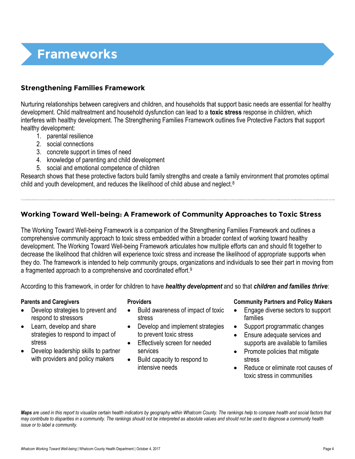### **Frameworks**

### **Strengthening Families Framework**

Nurturing relationships between caregivers and children, and households that support basic needs are essential for healthy development. Child maltreatment and household dysfunction can lead to a **toxic stress** response in children, which interferes with healthy development. The Strengthening Families Framework outlines five Protective Factors that support healthy development:

- 1. parental resilience
- 2. social connections
- 3. concrete support in times of need
- 4. knowledge of parenting and child development
- 5. social and emotional competence of children

Research shows that these protective factors build family strengths and create a family environment that promotes optimal child and youth development, and reduces the likelihood of child abuse and neglect.<sup>8</sup>

### **Working Toward Well-being: A Framework of Community Approaches to Toxic Stress**

The Working Toward Well-being Framework is a companion of the Strengthening Families Framework and outlines a comprehensive community approach to toxic stress embedded within a broader context of working toward healthy development. The Working Toward Well-being Framework articulates how multiple efforts can and should fit together to decrease the likelihood that children will experience toxic stress and increase the likelihood of appropriate supports when they do. The framework is intended to help community groups, organizations and individuals to see their part in moving from a fragmented approach to a comprehensive and coordinated effort.<sup>9</sup>

According to this framework, in order for children to have *healthy development* and so that *children and families thrive*:

- Develop strategies to prevent and respond to stressors
- Learn, develop and share strategies to respond to impact of stress
- Develop leadership skills to partner with providers and policy makers

- Build awareness of impact of toxic stress
- Develop and implement strategies to prevent toxic stress
- **Effectively screen for needed** services
- Build capacity to respond to intensive needs

#### **Parents and Caregivers Providers Community Partners and Policy Makers**

- Engage diverse sectors to support families
- Support programmatic changes
- Ensure adequate services and supports are available to families
- Promote policies that mitigate stress
- Reduce or eliminate root causes of toxic stress in communities

*Maps are used in this report to visualize certain health indicators by geography within Whatcom County. The rankings help to compare health and social factors that may contribute to disparities in a community. The rankings should not be interpreted as absolute values and should not be used to diagnose a community health issue or to label a community.*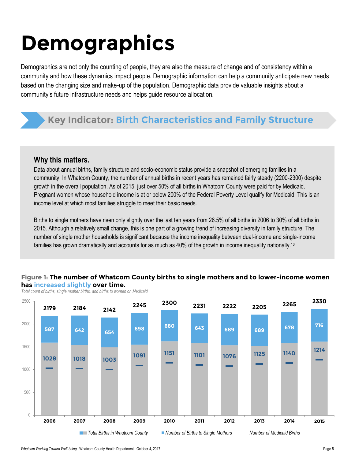## **Demographics**

Demographics are not only the counting of people, they are also the measure of change and of consistency within a community and how these dynamics impact people. Demographic information can help a community anticipate new needs based on the changing size and make-up of the population. Demographic data provide valuable insights about a community's future infrastructure needs and helps guide resource allocation.

### **Key Indicator: Birth Characteristics and Family Structure**

### **Why this matters.**

Data about annual births, family structure and socio-economic status provide a snapshot of emerging families in a community. In Whatcom County, the number of annual births in recent years has remained fairly steady (2200-2300) despite growth in the overall population. As of 2015, just over 50% of all births in Whatcom County were paid for by Medicaid. Pregnant women whose household income is at or below 200% of the Federal Poverty Level qualify for Medicaid. This is an income level at which most families struggle to meet their basic needs.

Births to single mothers have risen only slightly over the last ten years from 26.5% of all births in 2006 to 30% of all births in 2015. Although a relatively small change, this is one part of a growing trend of increasing diversity in family structure. The number of single mother households is significant because the income inequality between dual-income and single-income families has grown dramatically and accounts for as much as 40% of the growth in income inequality nationally.<sup>10</sup>

#### **Figure 1: The number of Whatcom County births to single mothers and to lower-income women has increased slightly over time.**

*Total count of births, single mother births, and births to women on Medicaid*

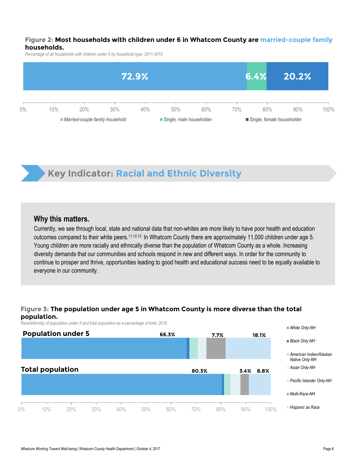#### **Figure 2: Most households with children under 6 in Whatcom County are married-couple family households.**

*Percentage of all households with children under 6 by household type, 2011-2015*



### **Key Indicator: Racial and Ethnic Diversity**

### **Why this matters.**

Currently, we see through local, state and national data that non-whites are more likely to have poor health and education outcomes compared to their white peers.<sup>11,12,13</sup> In Whatcom County there are approximately 11,000 children under age 5. Young children are more racially and ethnically diverse than the population of Whatcom County as a whole. Increasing diversity demands that our communities and schools respond in new and different ways. In order for the community to continue to prosper and thrive, opportunities leading to good health and educational success need to be equally available to everyone in our community.

#### **Figure 3: The population under age 5 in Whatcom County is more diverse than the total population.**

*Race/ethnicity of population under 5 and total population as a percentage of total, 2016*

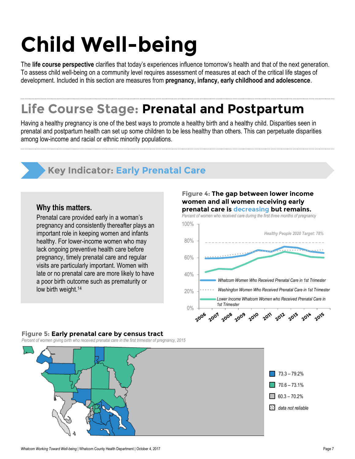## **Child Well-being**

The **life course perspective** clarifies that today's experiences influence tomorrow's health and that of the next generation. To assess child well-being on a community level requires assessment of measures at each of the critical life stages of development. Included in this section are measures from **pregnancy, infancy, early childhood and adolescence**.

### **Life Course Stage: Prenatal and Postpartum**

Having a healthy pregnancy is one of the best ways to promote a healthy birth and a healthy child. Disparities seen in prenatal and postpartum health can set up some children to be less healthy than others. This can perpetuate disparities among low-income and racial or ethnic minority populations.

### **Key Indicator: Early Prenatal Care**

### **Why this matters.**

Prenatal care provided early in a woman's pregnancy and consistently thereafter plays an important role in keeping women and infants healthy. For lower-income women who may lack ongoing preventive health care before pregnancy, timely prenatal care and regular visits are particularly important. Women with late or no prenatal care are more likely to have a poor birth outcome such as prematurity or low birth weight. 14

#### **Figure 4: The gap between lower income women and all women receiving early prenatal care is decreasing but remains.**

*Percent of women who received care during the first three months of pregnancy*



### **Figure 5: Early prenatal care by census tract**

*Percent of women giving birth who received prenatal care in the first trimester of pregnancy, 2015*

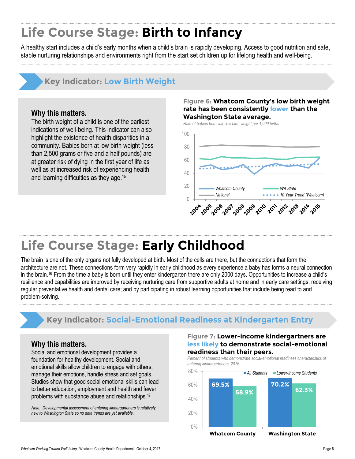### **Life Course Stage: Birth to Infancy**

A healthy start includes a child's early months when a child's brain is rapidly developing. Access to good nutrition and safe, stable nurturing relationships and environments right from the start set children up for lifelong health and well-being.

### **Key Indicator: Low Birth Weight**

#### **Why this matters.**

The birth weight of a child is one of the earliest indications of well-being. This indicator can also highlight the existence of health disparities in a community. Babies born at low birth weight (less than 2,500 grams or five and a half pounds) are at greater risk of dying in the first year of life as well as at increased risk of experiencing health and learning difficulties as they age.<sup>15</sup>

#### **Figure 6: Whatcom County's low birth weight rate has been consistently lower than the Washington State average.**

*Rate of babies born with low birth weight per 1,000 births*



### **Life Course Stage: Early Childhood**

The brain is one of the only organs not fully developed at birth. Most of the cells are there, but the connections that form the architecture are not. These connections form very rapidly in early childhood as every experience a baby has forms a neural connection in the brain. <sup>16</sup> From the time a baby is born until they enter kindergarten there are only 2000 days. Opportunities to increase a child's resilience and capabilities are improved by receiving nurturing care from supportive adults at home and in early care settings; receiving regular preventative health and dental care; and by participating in robust learning opportunities that include being read to and problem-solving.

### **Key Indicator: Social-Emotional Readiness at Kindergarten Entry**

### **Why this matters.**

Social and emotional development provides a foundation for healthy development. Social and emotional skills allow children to engage with others, manage their emotions, handle stress and set goals. Studies show that good social emotional skills can lead to better education, employment and health and fewer problems with substance abuse and relationships.<sup>17</sup>

*Note: Developmental assessment of entering kindergarteners is relatively new to Washington State so no data trends are yet available.* 

#### **Figure 7: Lower-income kindergartners are less likely to demonstrate social-emotional readiness than their peers.**



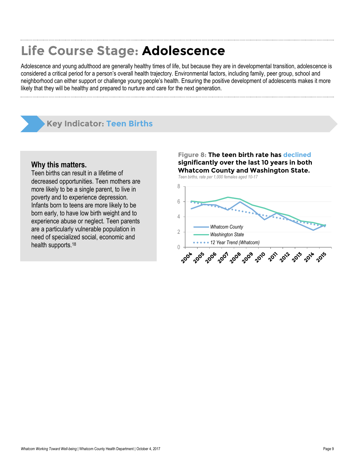### **Life Course Stage: Adolescence**

Adolescence and young adulthood are generally healthy times of life, but because they are in developmental transition, adolescence is considered a critical period for a person's overall health trajectory. Environmental factors, including family, peer group, school and neighborhood can either support or challenge young people's health. Ensuring the positive development of adolescents makes it more likely that they will be healthy and prepared to nurture and care for the next generation.

### **Key Indicator: Teen Births**

#### **Why this matters.**

Teen births can result in a lifetime of decreased opportunities. Teen mothers are more likely to be a single parent, to live in poverty and to experience depression. Infants born to teens are more likely to be born early, to have low birth weight and to experience abuse or neglect. Teen parents are a particularly vulnerable population in need of specialized social, economic and health supports.<sup>18</sup> 0

### **Figure 8: The teen birth rate has declined significantly over the last 10 years in both Whatcom County and Washington State.**

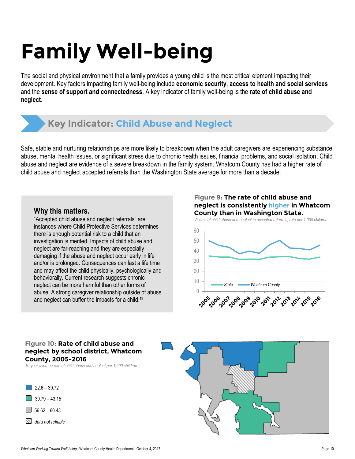## **Family Well-being**

The social and physical environment that a family provides a young child is the most critical element impacting their development. Key factors impacting family well-being include **economic security**, **access to health and social services** and the **sense of support and connectedness**. A key indicator of family well-being is the **rate of child abuse and neglect**.

### **Key Indicator: Child Abuse and Neglect**

Safe, stable and nurturing relationships are more likely to breakdown when the adult caregivers are experiencing substance abuse, mental health issues, or significant stress due to chronic health issues, financial problems, and social isolation. Child abuse and neglect are evidence of a severe breakdown in the family system. Whatcom County has had a higher rate of child abuse and neglect accepted referrals than the Washington State average for more than a decade.

### **Why this matters.**

"Accepted child abuse and neglect referrals" are instances where Child Protective Services determines there is enough potential risk to a child that an investigation is merited. Impacts of child abuse and neglect are far-reaching and they are especially damaging if the abuse and neglect occur early in life and/or is prolonged. Consequences can last a life time and may affect the child physically, psychologically and behaviorally. Current research suggests chronic neglect can be more harmful than other forms of abuse. A strong caregiver relationship outside of abuse and neglect can buffer the impacts for a child.<sup>19</sup>

#### **Figure 9: The rate of child abuse and neglect is consistently higher in Whatcom County than in Washington State.**

*Victims of child abuse and neglect in accepted referrals, rate per 1,000 children*



#### **Figure 10: Rate of child abuse and neglect by school district, Whatcom County, 2005-2016**

*10-year average rate of child abuse and neglect per 1,000 children*

 $\Box$  39.79 – 43.15  $\sqrt{22.6 - 39.72}$  $\Box$  56.62 – 60.43



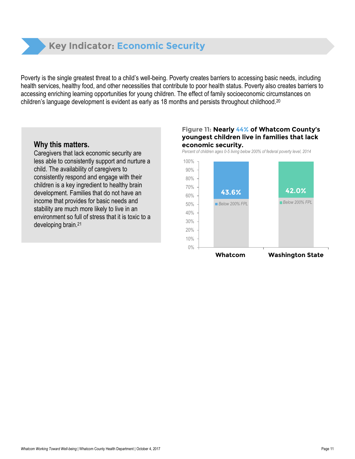

Poverty is the single greatest threat to a child's well-being. Poverty creates barriers to accessing basic needs, including health services, healthy food, and other necessities that contribute to poor health status. Poverty also creates barriers to accessing enriching learning opportunities for young children. The effect of family socioeconomic circumstances on children's language development is evident as early as 18 months and persists throughout childhood.<sup>20</sup>

### **Why this matters.**

Caregivers that lack economic security are less able to consistently support and nurture a child. The availability of caregivers to consistently respond and engage with their children is a key ingredient to healthy brain development. Families that do not have an income that provides for basic needs and stability are much more likely to live in an environment so full of stress that it is toxic to a developing brain. 21

#### **Figure 11: Nearly 44% of Whatcom County's youngest children live in families that lack economic security.**

*Percent of children ages 0-5 living below 200% of federal poverty level, 2014*

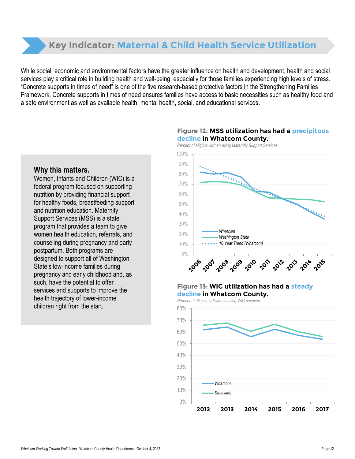### **Key Indicator: Maternal & Child Health Service Utilization**

While social, economic and environmental factors have the greater influence on health and development, health and social services play a critical role in building health and well-being, especially for those families experiencing high levels of stress. "Concrete supports in times of need" is one of the five research-based protective factors in the Strengthening Families Framework. Concrete supports in times of need ensures families have access to basic necessities such as healthy food and a safe environment as well as available health, mental health, social, and educational services.

### **decline in Whatcom County.** *Percent of eligible women using Maternity Support Services*

**Figure 12: MSS utilization has had a precipitous** 



### **Why this matters.**

Women, Infants and Children (WIC) is a federal program focused on supporting nutrition by providing financial support for healthy foods, breastfeeding support and nutrition education. Maternity Support Services (MSS) is a state program that provides a team to give women health education, referrals, and counseling during pregnancy and early postpartum. Both programs are designed to support all of Washington State's low-income families during pregnancy and early childhood and, as such, have the potential to offer services and supports to improve the health trajectory of lower-income children right from the start.

#### **Figure 13: WIC utilization has had a steady decline in Whatcom County.**

*Percent of eligible individuals using WIC services*

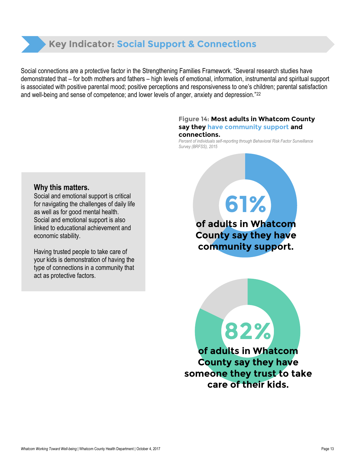### **Key Indicator: Social Support & Connections**

Social connections are a protective factor in the Strengthening Families Framework. "Several research studies have demonstrated that – for both mothers and fathers – high levels of emotional, information, instrumental and spiritual support is associated with positive parental mood; positive perceptions and responsiveness to one's children; parental satisfaction and well-being and sense of competence; and lower levels of anger, anxiety and depression."<sup>22</sup>

#### **Figure 14: Most adults in Whatcom County say they have community support and connections.**

*Percent of individuals self-reporting through Behavioral Risk Factor Surveillance Survey (BRFSS), 2015*

### **Why this matters.**

Social and emotional support is critical for navigating the challenges of daily life as well as for good mental health. Social and emotional support is also linked to educational achievement and economic stability.

Having trusted people to take care of your kids is demonstration of having the type of connections in a community that act as protective factors.

**of adults in Whatcom County say they have community support.**

**61%**

**of adults in Whatcom County say they have someone they trust to take care of their kids.**

**82%**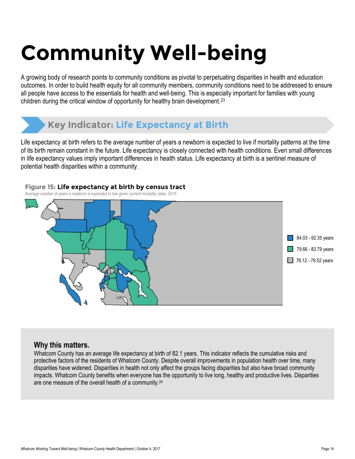## **Community Well-being**

A growing body of research points to community conditions as pivotal to perpetuating disparities in health and education outcomes. In order to build health equity for all community members, community conditions need to be addressed to ensure all people have access to the essentials for health and well-being. This is especially important for families with young children during the critical window of opportunity for healthy brain development.<sup>23</sup>

### **Key Indicator: Life Expectancy at Birth**

Life expectancy at birth refers to the average number of years a newborn is expected to live if mortality patterns at the time of its birth remain constant in the future. Life expectancy is closely connected with health conditions. Even small differences in life expectancy values imply important differences in health status. Life expectancy at birth is a sentinel measure of potential health disparities within a community.

#### **Figure 15: Life expectancy at birth by census tract**

*Average number of years a newborn is expected to live given current mortality rates, 2015*



### **Why this matters.**

Whatcom County has an average life expectancy at birth of 82.1 years. This indicator reflects the cumulative risks and protective factors of the residents of Whatcom County. Despite overall improvements in population health over time, many disparities have widened. Disparities in health not only affect the groups facing disparities but also have broad community impacts. Whatcom County benefits when everyone has the opportunity to live long, healthy and productive lives. Disparities are one measure of the overall health of a community.<sup>24</sup>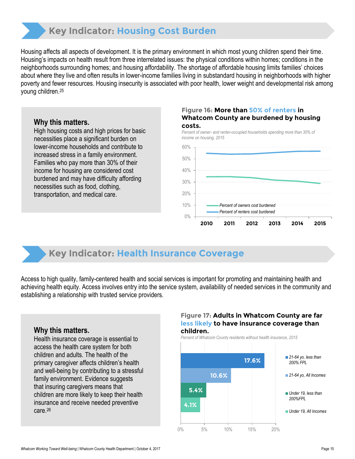### **Key Indicator: Housing Cost Burden**

Housing affects all aspects of development. It is the primary environment in which most young children spend their time. Housing's impacts on health result from three interrelated issues: the physical conditions within homes; conditions in the neighborhoods surrounding homes; and housing affordability. The shortage of affordable housing limits families' choices about where they live and often results in lower-income families living in substandard housing in neighborhoods with higher poverty and fewer resources. Housing insecurity is associated with poor health, lower weight and developmental risk among young children. 25

### **Why this matters.**

High housing costs and high prices for basic necessities place a significant burden on lower-income households and contribute to increased stress in a family environment. Families who pay more than 30% of their income for housing are considered cost burdened and may have difficulty affording necessities such as food, clothing, transportation, and medical care.

#### **Figure 16: More than 50% of renters in Whatcom County are burdened by housing costs.**

*Percent of owner- and renter-occupied households spending more than 30% of income on housing, 2015*



### **Key Indicator: Health Insurance Coverage**

Access to high quality, family-centered health and social services is important for promoting and maintaining health and achieving health equity. Access involves entry into the service system, availability of needed services in the community and establishing a relationship with trusted service providers.

### **Why this matters.**

Health insurance coverage is essential to access the health care system for both children and adults. The health of the primary caregiver affects children's health and well-being by contributing to a stressful family environment. Evidence suggests that insuring caregivers means that children are more likely to keep their health insurance and receive needed preventive care.<sup>26</sup>

#### **Figure 17: Adults in Whatcom County are far less likely to have insurance coverage than children.**

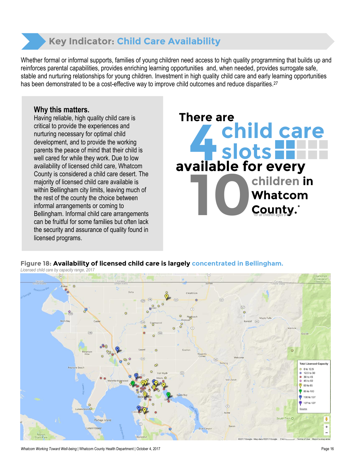

Whether formal or informal supports, families of young children need access to high quality programming that builds up and reinforces parental capabilities, provides enriching learning opportunities and, when needed, provides surrogate safe, stable and nurturing relationships for young children. Investment in high quality child care and early learning opportunities has been demonstrated to be a cost-effective way to improve child outcomes and reduce disparities.<sup>27</sup>

### **Why this matters.**

Having reliable, high quality child care is critical to provide the experiences and nurturing necessary for optimal child development, and to provide the working parents the peace of mind that their child is well cared for while they work. Due to low availability of licensed child care, Whatcom County is considered a child care desert. The majority of licensed child care available is within Bellingham city limits, leaving much of the rest of the county the choice between informal arrangements or coming to Bellingham. Informal child care arrangements can be fruitful for some families but often lack the security and assurance of quality found in licensed programs.



**Figure 18: Availability of licensed child care is largely concentrated in Bellingham.**

*Licensed child care by capacity range, 2017*  $\overline{(\overline{9})}$ **Total Licensed Capacity**  $0$  0 to 12.5 2.12.5 to 30 30 to 45  $0$  45 to 60  $\odot$  60 to 85 85 to 100 100 to 127 127 to 127  $\sqrt{9}$ Portage Island Lummi Island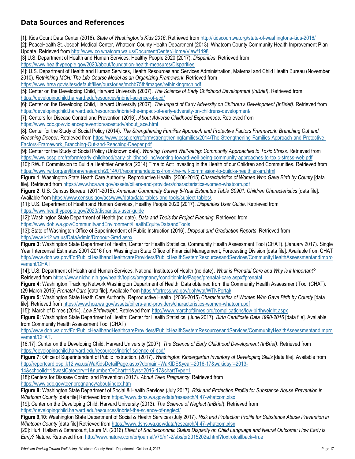### **Data Sources and References**

[1]: Kids Count Data Center (2016). *State of Washington's Kids 2016*. Retrieved from<http://kidscountwa.org/state-of-washingtons-kids-2016/> [2]: PeaceHealth St. Joseph Medical Center, Whatcom County Health Department (2013). Whatcom County Community Health Improvement Plan Update. Retrieved from<http://www.co.whatcom.wa.us/DocumentCenter/Home/View/1498>

[3] U.S. Department of Health and Human Services, Healthy People 2020 (2017). *Disparities*. Retrieved from <https://www.healthypeople.gov/2020/about/foundation-health-measures/Disparities>

[4]: U.S. Department of Health and Human Services, Health Resources and Services Administration, Maternal and Child Health Bureau (November 2010). *Rethinking MCH: The Life Course Model as an Organizing Framework*. Retrieved from

<https://www.hrsa.gov/sites/default/files/ourstories/mchb75th/images/rethinkingmch.pdf>

[5]: Center on the Developing Child, Harvard University (2007). *The Science of Early Childhood Development (InBrief)*. Retrieved from <https://developingchild.harvard.edu/resources/inbrief-science-of-ecd/>

[6]: Center on the Developing Child, Harvard University (2007). *The Impact of Early Adversity on Children's Development (InBrief)*. Retrieved from <https://developingchild.harvard.edu/resources/inbrief-the-impact-of-early-adversity-on-childrens-development/>

[7]: Centers for Disease Control and Prevention (2016). *About Adverse Childhood Experiences*. Retrieved from

[https://www.cdc.gov/violenceprevention/acestudy/about\\_ace.html](https://www.cdc.gov/violenceprevention/acestudy/about_ace.html)

[8]: Center for the Study of Social Policy (2014). *The Strengthening Families Approach and Protective Factors Framework: Branching Out and Reaching Deeper*. Retrieved from [https://www.cssp.org/reform/strengtheningfamilies/2014/The-Strengthening-Families-Approach-and-Protective-](https://www.cssp.org/reform/strengtheningfamilies/2014/The-Strengthening-Families-Approach-and-Protective-Factors-Framework_Branching-Out-and-Reaching-Deeper.pdf)[Factors-Framework\\_Branching-Out-and-Reaching-Deeper.pdf](https://www.cssp.org/reform/strengtheningfamilies/2014/The-Strengthening-Families-Approach-and-Protective-Factors-Framework_Branching-Out-and-Reaching-Deeper.pdf)

[9]: Center for the Study of Social Policy (Unknown date). *Working Toward Well-being: Community Approaches to Toxic Stress.* Retrieved from <https://www.cssp.org/reform/early-childhood/early-childhood-linc/working-toward-well-being-community-approaches-to-toxic-stress-web.pdf>

[10]: RWJF Commission to Build a Healthier America (2014) Time to Act: Investing in the Health of our Children and Communities. Retrieved from <https://www.rwjf.org/en/library/research/2014/01/recommendations-from-the-rwjf-commission-to-build-a-healthier-am.html>

**Figure 1**: Washington State Heath Care Authority. Reproductive Health. (2006-2015) *Characteristics of Women Who Gave Birth by County* [data file]. Retrieved from<https://www.hca.wa.gov/assets/billers-and-providers/characteristics-women-whatcom.pdf>

**Figure 2**: U.S. Census Bureau. (2011-2015). *American Community Survey 5-Year Estimates Table S0901: Children Characteristics* [data file]. Available from [https://www.census.gov/acs/www/data/data-tables-and-tools/subject-tables/.](https://www.census.gov/acs/www/data/data-tables-and-tools/subject-tables/)

[11]: U.S. Department of Health and Human Services, Healthy People 2020 (2017). *Disparities User Guide*. Retrieved from <https://www.healthypeople.gov/2020/disparities-user-guide>

[12]: Washington State Department of Health (no date). *Data and Tools for Project Planning*. Retrieved from <https://www.doh.wa.gov/CommunityandEnvironment/HealthEquity/DataandTools>

[13]: State of Washington Office of Superintendent of Public Instruction (2016). *Dropout and Graduation Reports*. Retrieved from <http://www.k12.wa.us/DataAdmin/Dropout-Grad.aspx>

**Figure 3:** Washington State Department of Health, Center for Health Statistics, Community Health Assessment Tool (CHAT). (January 2017). Single Year Intercensal Estimates 2001-2016 from Washington State Office of Financial Management, Forecasting Division [data file]. Available from CHAT [http://www.doh.wa.gov/ForPublicHealthandHealthcareProviders/PublicHealthSystemResourcesandServices/CommunityHealthAssessmentandImpro](http://www.doh.wa.gov/ForPublicHealthandHealthcareProviders/PublicHealthSystemResourcesandServices/CommunityHealthAssessmentandImprovement/CHAT) [vement/CHAT](http://www.doh.wa.gov/ForPublicHealthandHealthcareProviders/PublicHealthSystemResourcesandServices/CommunityHealthAssessmentandImprovement/CHAT)

[14]: U.S. Department of Health and Human Services, National Institutes of Health (no date). *What is Prenatal Care and Why is it Important?*  Retrieved from<https://www.nichd.nih.gov/health/topics/pregnancy/conditioninfo/Pages/prenatal-care.aspx#prenatal>

**Figure 4:** Washington Tracking Network Washington Department of Health. Data obtained from the Community Health Assessment Tool (CHAT). (29 March 2016) *Prenatal Care* [data file]. Available fro[m https://fortress.wa.gov/doh/wtn/WTNPortal/](https://fortress.wa.gov/doh/wtn/WTNPortal/)

**Figure 5:** Washington State Heath Care Authority. Reproductive Health. (2006-2015) *Characteristics of Women Who Gave Birth by County* [data file]. Retrieved from<https://www.hca.wa.gov/assets/billers-and-providers/characteristics-women-whatcom.pdf>

[15]: March of Dimes (2014). *Low Birthweight*. Retrieved from<http://www.marchofdimes.org/complications/low-birthweight.aspx>

**Figure 6:** Washington State Department of Health: Center for Health Statistics. (June 2017). *Birth Certificate Data 1990-2016* [data file]. Available from Community Health Assessment Tool (CHAT)

[http://www.doh.wa.gov/ForPublicHealthandHealthcareProviders/PublicHealthSystemResourcesandServices/CommunityHealthAssessmentandImpro](http://www.doh.wa.gov/ForPublicHealthandHealthcareProviders/PublicHealthSystemResourcesandServices/CommunityHealthAssessmentandImprovement/CHAT) [vement/CHAT.](http://www.doh.wa.gov/ForPublicHealthandHealthcareProviders/PublicHealthSystemResourcesandServices/CommunityHealthAssessmentandImprovement/CHAT)

[16,17]: Center on the Developing Child, Harvard University (2007). *The Science of Early Childhood Development (InBrief)*. Retrieved from <https://developingchild.harvard.edu/resources/inbrief-science-of-ecd/>

**Figure 7:** Office of Superintendent of Public Instruction. (2017). *Washington Kindergarten Inventory of Developing Skills* [data file]. Available from [http://reportcard.ospi.k12.wa.us/WaKidsDetailPage.aspx?domain=WaKIDS&year=2016-17&wakidsyr=2013-](http://reportcard.ospi.k12.wa.us/WaKidsDetailPage.aspx?domain=WaKIDS&year=2016-17&wakidsyr=2013-14&schoolId=1&waslCategory=1&numberOrChart=1&yrs=2016-17&chartType=1)

[14&schoolId=1&waslCategory=1&numberOrChart=1&yrs=2016-17&chartType=1](http://reportcard.ospi.k12.wa.us/WaKidsDetailPage.aspx?domain=WaKIDS&year=2016-17&wakidsyr=2013-14&schoolId=1&waslCategory=1&numberOrChart=1&yrs=2016-17&chartType=1)

[18]:Centers for Disease Control and Prevention (2017). *About Teen Pregnancy*. Retrieved from

<https://www.cdc.gov/teenpregnancy/about/index.htm>

**Figure 8:** Washington State Department of Social & Health Services (July 2017*). Risk and Protection Profile for Substance Abuse Prevention in Whatcom County* [data file] Retrieved from<https://www.dshs.wa.gov/data/research/4.47-whatcom.xlsx>

[19]: Center on the Developing Child, Harvard University (2013). *The Science of Neglect (InBrief*). Retrieved from <https://developingchild.harvard.edu/resources/inbrief-the-science-of-neglect/>

**Figure 9,10**: Washington State Department of Social & Health Services (July 2017). *Risk and Protection Profile for Substance Abuse Prevention in Whatcom County* [data file] Retrieved from<https://www.dshs.wa.gov/data/research/4.47-whatcom.xlsx>

[20]: Hurt, Hallam & Betancourt, Laura M. (2016) *Effect of Socioeconomic Status Disparity on Child Language and Neural Outcome: How Early is Early?* Nature. Retrieved fro[m http://www.nature.com/pr/journal/v79/n1-2/abs/pr2015202a.html?foxtrotcallback=true](http://www.nature.com/pr/journal/v79/n1-2/abs/pr2015202a.html?foxtrotcallback=true)